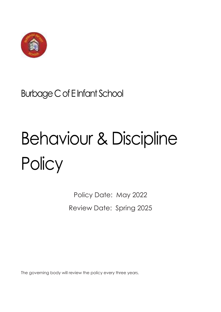

# Burbage CofE Infant School

# Behaviour & Discipline **Policy**

Policy Date: May 2022 Review Date: Spring 2025

The governing body will review the policy every three years.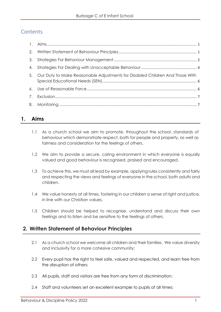# **Contents**

| 3. |                                                                                 |  |
|----|---------------------------------------------------------------------------------|--|
|    |                                                                                 |  |
|    | 5. Our Duty to Make Reasonable Adjustments for Disabled Children And Those With |  |
|    |                                                                                 |  |
|    |                                                                                 |  |
|    |                                                                                 |  |

# <span id="page-1-0"></span>**1. Aims**

- 1.1 As a church school we aim to promote, throughout the school, standards of behaviour which demonstrate respect, both for people and property, as well as fairness and consideration for the feelings of others.
- 1.2 We aim to provide a secure, caring environment in which everyone is equally valued and good behaviour is recognised, praised and encouraged.
- 1.3 To achieve this, we must all lead by example, applying rules consistently and fairly and respecting the views and feelings of everyone in the school, both adults and children.
- 1.4 We value honesty at all times, fostering in our children a sense of right and justice, in line with our Christian values.
- 1.5 Children should be helped to recognise, understand and discuss their own feelings and to listen and be sensitive to the feelings of others.

# <span id="page-1-1"></span>**2. Written Statement of Behaviour Principles**

- 2.1 As a church school we welcome all children and their families. We value diversity and inclusivity for a more cohesive community;
- 2.2 Every pupil has the right to feel safe, valued and respected, and learn free from the disruption of others;
- 2.3 All pupils, staff and visitors are free from any form of discrimination;
- 2.4 Staff and volunteers set an excellent example to pupils at all times;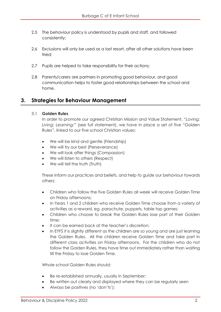- 2.5 The behaviour policy is understood by pupils and staff, and followed consistently;
- 2.6 Exclusions will only be used as a last resort, after all other solutions have been tried;
- 2.7 Pupils are helped to take responsibility for their actions;
- 2.8 Parents/carers are partners in promoting good behaviour, and good communication helps to foster good relationships between the school and home.

# <span id="page-2-0"></span>**3. Strategies for Behaviour Management**

#### 3.1 **Golden Rules**

In order to promote our agreed Christian Mission and Value Statement, "*Loving; Living; Learning;"* (see full statement), we have in place a set of five "Golden Rules", linked to our five school Christian values:

- We will be kind and gentle (Friendship)
- We will try our best (Perseverance)
- We will look after things (Compassion)
- We will listen to others (Respect)
- We will tell the truth (Truth)

These inform our practices and beliefs, and help to guide our behaviour towards others:

- Children who follow the five Golden Rules all week will receive Golden Time on Friday afternoons;
- In Years 1 and 2 children who receive Golden Time choose from a variety of activities as a reward, eg. parachute, puppets, table top games;
- Children who choose to break the Golden Rules lose part of their Golden time;
- It can be earned back at the teacher's discretion;
- In EYFS it is slightly different as the children are so young and are just learning the Golden Rules. All the children receive Golden Time and take part in different class activities on Friday afternoons. For the children who do not follow the Golden Rules, they have time out immediately rather than waiting till the Friday to lose Golden Time.

Whole school Golden Rules should:

- Be re-established annually, usually in September;
- Be written out clearly and displayed where they can be regularly seen
- Always be positives (no 'don'ts');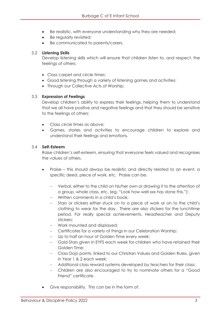- Be realistic, with everyone understanding why they are needed;
- Be regularly revisited;
- Be communicated to parents/carers.

#### 3.2 **Listening Skills**

Develop listening skills which will ensure that children listen to, and respect, the feelings of others:

- Class carpet and circle times;
- Good listening through a variety of listening games and activities;
- Through our Collective Acts of Worship.

#### 3.3 **Expression of Feelings**

Develop children's ability to express their feelings, helping them to understand that we all have positive and negative feelings and that they should be sensitive to the feelings of others:

- Class circle times as above;
- Games, stories and activities to encourage children to explore and understand their feelings and emotions.

#### 3.4 **Self-Esteem**

Raise children's self-esteem, ensuring that everyone feels valued and recognises the values of others.

- Praise this should always be realistic and directly related to an event, a specific deed, piece of work, etc. Praise can be:
	- Verbal, either to the child on his/her own or drawing it to the attention of a group, whole class, etc, (eg. "Look how well xxx has done this.");
	- Written comments in a child's book:
	- Stars or stickers either stuck on to a piece of work or on to the child's clothing to wear for the day. There are also stickers for the lunchtime period. For really special achievements, Headteacher and Deputy stickers;
	- Work mounted and displayed;
	- Certificates for a variety of things in our Celebration Worship;
	- Up to half an hour of Golden Time every week;
	- Gold Stars given in EYFS each week for children who have retained their Golden Time;
	- Class Dojo points, linked to our Christian Values and Golden Rules, given in Year 1 & 2 each week;
	- Additional class reward systems developed by teachers for their class;
	- Children are also encouraged to try to nominate others for a "Good Friend" certificate.
- Give responsibility. This can be in the form of: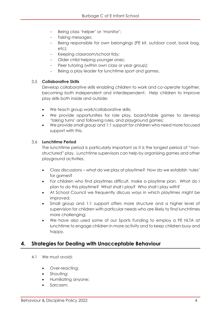- Being class 'helper' or 'monitor';
- Taking messages;
- Being responsible for own belongings (PE kit, outdoor coat, book bag, etc);
- Keeping classroom/school tidy;
- Older child helping younger ones;
- Peer tutoring (within own class or year group);
- Being a play leader for lunchtime sport and games.

#### 3.5 **Collaborative Skills**

Develop collaborative skills enabling children to work and co-operate together, becoming both independent and interdependent. Help children to improve play skills both inside and outside:

- We teach group work/collaborative skills;
- We provide opportunities for role play, board/table games to develop 'taking turns' and following rules, and playground games;
- We provide small group and 1:1 support for children who need more focused support with this.

#### 3.6 **Lunchtime Period**

The lunchtime period is particularly important as it is the longest period of "nonstructured" play. Lunchtime supervisors can help by organising games and other playground activities.

- Class discussions what do we play at playtime? How do we establish 'rules' for games?
- For children who find playtimes difficult, make a playtime plan. What do I plan to do this playtime? What shall I play? Who shall I play with?
- At School Council we frequently discuss ways in which playtimes might be improved;
- Small group and 1:1 support offers more structure and a higher level of supervision for children with particular needs who are likely to find lunchtimes more challenging;
- We have also used some of our Sports Funding to employ a PE HLTA at lunchtime to engage children in more activity and to keep children busy and happy.

### <span id="page-4-0"></span>**4. Strategies for Dealing with Unacceptable Behaviour**

- 4.1 We must avoid:
	- Over-reacting;
	- Shouting;
	- Humiliating anyone;
	- Sarcasm;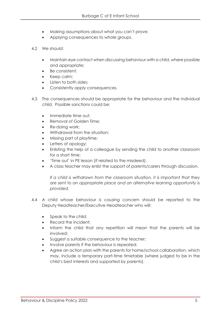- Making assumptions about what you can't prove;
- Applying consequences to whole groups.
- 4.2 We should:
	- Maintain eye contact when discussing behaviour with a child, where possible and appropriate;
	- Be consistent;
	- Keep calm;
	- Listen to both sides;
	- Consistently apply consequences.
- 4.3 The consequences should be appropriate for the behaviour and the individual child. Possible sanctions could be:
	- Immediate time out;
	- Removal of Golden Time;
	- Re-doing work;
	- Withdrawal from the situation;
	- Missing part of playtime;
	- Letters of apology;
	- Enlisting the help of a colleague by sending the child to another classroom for a short time;
	- 'Time out' in PE lesson (if related to the misdeed);
	- A class teacher may enlist the support of parents/carers through discussion.

*If a child is withdrawn from the classroom situation, it is important that they are sent to an appropriate place and an alternative learning opportunity is provided.*

- 4.4 A child whose behaviour is causing concern should be reported to the Deputy Headteacher/Executive Headteacher who will:
	- Speak to the child;
	- Record the incident;
	- Inform the child that any repetition will mean that the parents will be involved;
	- Suggest a suitable consequence to the teacher;
	- Involve parents if the behaviour is repeated;
	- Agree an action plan with the parents for home/school collaboration, which may, include a temporary part-time timetable (where judged to be in the child's best interests and supported by parents).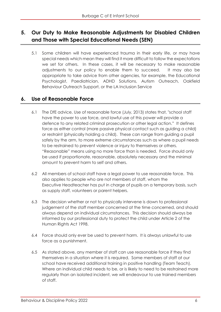# <span id="page-6-0"></span>**5. Our Duty to Make Reasonable Adjustments for Disabled Children and Those with Special Educational Needs (SEN)**

5.1 Some children will have experienced trauma in their early life, or may have special needs which mean they will find it more difficult to follow the expectations we set for others. In these cases, it will be necessary to make reasonable adjustments to our policy to enable them to succeed. It may also be appropriate to take advice from other agencies, for example, the Educational Psychologist, Paediatrician, ADHD Solutions, Autism Outreach, Oakfield Behaviour Outreach Support, or the LA Inclusion Service

# <span id="page-6-1"></span>**6. Use of Reasonable Force**

- 6.1 The DfE advice, Use of reasonable force (July, 2013) states that, "school staff have the power to use force, and lawful use of this power will provide a defence to any related criminal prosecution or other legal action." It defines force as either control (more passive physical contact such as guiding a child) or restraint (physically holding a child). These can range from guiding a pupil safely by the arm, to more extreme circumstances such as where a pupil needs to be restrained to prevent violence or injury to themselves or others. "Reasonable" means using no more force than is needed. Force should only be used if proportionate, reasonable, absolutely necessary and the minimal amount to prevent harm to self and others.
- 6.2 All members of school staff have a legal power to use reasonable force. This also applies to people who are not members of staff, whom the Executive Headteacher has put in charge of pupils on a temporary basis, such as supply staff, volunteers or parent helpers.
- 6.3 The decision whether or not to physically intervene is down to professional judgement of the staff member concerned at the time concerned, and should always depend on individual circumstances. This decision should always be informed by our professional duty to protect the child under Article 2 of the Human Rights Act 1998.
- 6.4 Force should only ever be used to prevent harm. It is always unlawful to use force as a punishment.
- 6.5 As stated above, any member of staff can use reasonable force if they find themselves in a situation where it is required. Some members of staff at our school have received additional training in positive handling (Team Teach). Where an individual child needs to be, or is likely to need to be restrained more regularly than an isolated incident, we will endeavour to use trained members of staff.